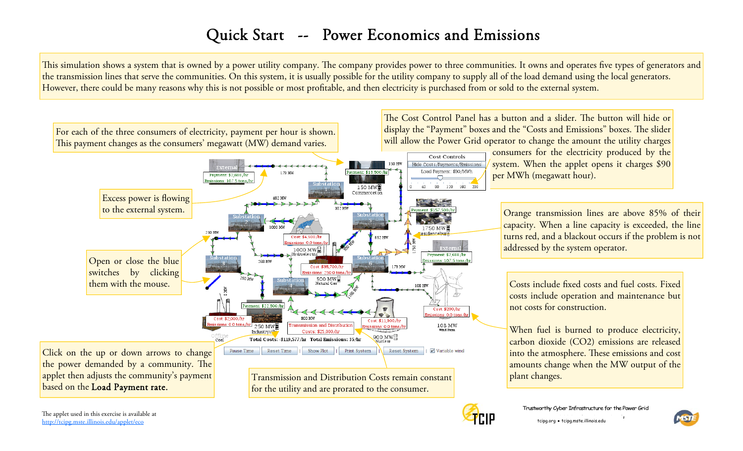## Quick Start -- Power Economics and Emissions

This simulation shows a system that is owned by a power utility company. The company provides power to three communities. It owns and operates five types of generators and the transmission lines that serve the communities. On this system, it is usually possible for the utility company to supply all of the load demand using the local generators. However, there could be many reasons why this is not possible or most profitable, and then electricity is purchased from or sold to the external system.





tcipg.org · tcipg.mste.illinois.edu